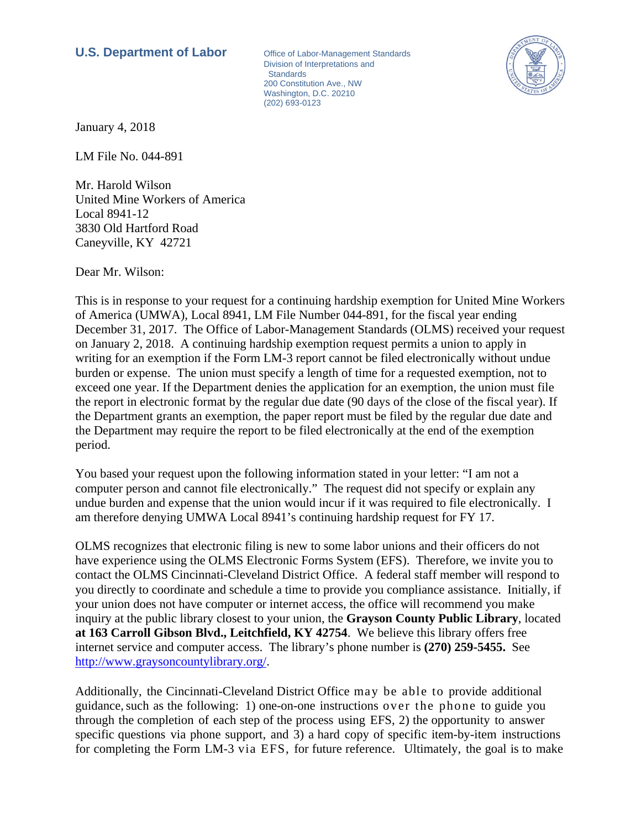## **U.S. Department of Labor Office of Labor-Management Standards**

Division of Interpretations and **Standards** 200 Constitution Ave., NW Washington, D.C. 20210 (202) 693-0123



January 4, 2018

LM File No. 044-891

Mr. Harold Wilson United Mine Workers of America Local 8941-12 3830 Old Hartford Road Caneyville, KY 42721

Dear Mr. Wilson:

This is in response to your request for a continuing hardship exemption for United Mine Workers of America (UMWA), Local 8941, LM File Number 044-891, for the fiscal year ending December 31, 2017. The Office of Labor-Management Standards (OLMS) received your request on January 2, 2018. A continuing hardship exemption request permits a union to apply in writing for an exemption if the Form LM-3 report cannot be filed electronically without undue burden or expense. The union must specify a length of time for a requested exemption, not to exceed one year. If the Department denies the application for an exemption, the union must file the report in electronic format by the regular due date (90 days of the close of the fiscal year). If the Department grants an exemption, the paper report must be filed by the regular due date and the Department may require the report to be filed electronically at the end of the exemption period.

You based your request upon the following information stated in your letter: "I am not a computer person and cannot file electronically." The request did not specify or explain any undue burden and expense that the union would incur if it was required to file electronically. I am therefore denying UMWA Local 8941's continuing hardship request for FY 17.

OLMS recognizes that electronic filing is new to some labor unions and their officers do not have experience using the OLMS Electronic Forms System (EFS). Therefore, we invite you to contact the OLMS Cincinnati-Cleveland District Office. A federal staff member will respond to you directly to coordinate and schedule a time to provide you compliance assistance. Initially, if your union does not have computer or internet access, the office will recommend you make inquiry at the public library closest to your union, the **Grayson County Public Library**, located **at 163 Carroll Gibson Blvd., Leitchfield, KY 42754**. We believe this library offers free internet service and computer access. The library's phone number is **(270) 259-5455.** See http://www.graysoncountylibrary.org/.

Additionally, the Cincinnati-Cleveland District Office may be able to provide additional guidance, such as the following: 1) one-on-one instructions over the phone to guide you through the completion of each step of the process using EFS, 2) the opportunity to answer specific questions via phone support, and 3) a hard copy of specific item-by-item instructions for completing the Form LM-3 via EFS, for future reference. Ultimately, the goal is to make